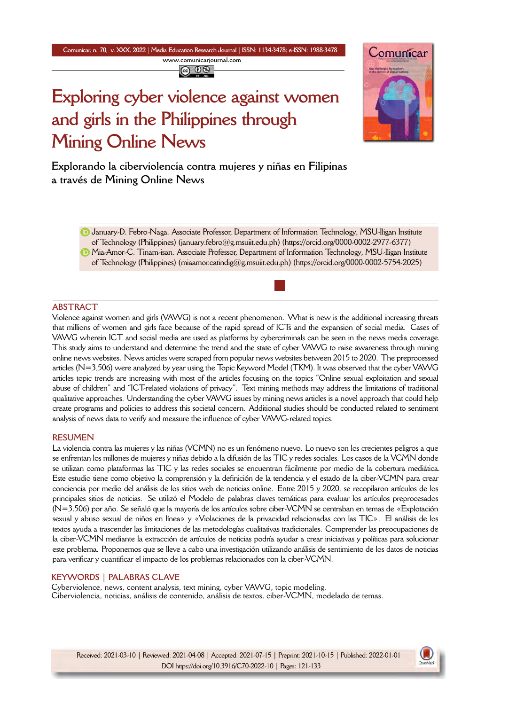**Comunicar, n. 70, v. XXX, 2022** *|* **Media Education Research Journal** *|* **ISSN: 1134-3478; e-ISSN: 1988-3478 <www.comunicarjournal.com>**

@ 0ි

# Comunicar

# **Exploring cyber violence against women and girls in the Philippines through Mining Online News**

**Explorando la ciberviolencia contra mujeres y niñas en Filipinas a través de Mining Online News**

January-D. Febro-Naga. Associate Professor, Department of Information Technology, MSU-Iligan Institute of Technology (Philippines) ([january.febro@g.msuiit.edu.ph\)](mailto:january.febro@g.msuiit.edu.ph) [\(https://orcid.org/0000-0002-2977-6377](https://orcid.org/0000-0002-2977-6377)) **D** Mia-Amor-C. Tinam-isan. Associate Professor, Department of Information Technology, MSU-Iligan Institute of Technology (Philippines) ([miaamor.catindig@g.msuiit.edu.ph](mailto:miaamor.catindig@g.msuiit.edu.ph)) [\(https://orcid.org/0000-0002-5754-2025\)](https://orcid.org/0000-0002-5754-2025)

# **ABSTRACT**

Violence against women and girls (VAWG) is not a recent phenomenon. What is new is the additional increasing threats that millions of women and girls face because of the rapid spread of ICTs and the expansion of social media. Cases of VAWG wherein ICT and social media are used as platforms by cybercriminals can be seen in the news media coverage. This study aims to understand and determine the trend and the state of cyber VAWG to raise awareness through mining online news websites. News articles were scraped from popular news websites between 2015 to 2020. The preprocessed articles (N=3,506) were analyzed by year using the Topic Keyword Model (TKM). It was observed that the cyber VAWG articles topic trends are increasing with most of the articles focusing on the topics "Online sexual exploitation and sexual abuse of children" and "ICT-related violations of privacy". Text mining methods may address the limitations of traditional qualitative approaches. Understanding the cyber VAWG issues by mining news articles is a novel approach that could help create programs and policies to address this societal concern. Additional studies should be conducted related to sentiment analysis of news data to verify and measure the influence of cyber VAWG-related topics.

#### **RESUMEN**

La violencia contra las mujeres y las niñas (VCMN) no es un fenómeno nuevo. Lo nuevo son los crecientes peligros a que se enfrentan los millones de mujeres y niñas debido a la difusión de las TIC y redes sociales. Los casos de la VCMN donde se utilizan como plataformas las TIC y las redes sociales se encuentran fácilmente por medio de la cobertura mediática. Este estudio tiene como objetivo la comprensión y la definición de la tendencia y el estado de la ciber-VCMN para crear conciencia por medio del análisis de los sitios web de noticias online. Entre 2015 y 2020, se recopilaron artículos de los principales sitios de noticias. Se utilizó el Modelo de palabras claves temáticas para evaluar los artículos preprocesados (N=3.506) por año. Se señaló que la mayoría de los artículos sobre ciber-VCMN se centraban en temas de «Explotación sexual y abuso sexual de niños en línea» y «Violaciones de la privacidad relacionadas con las TIC». El análisis de los textos ayuda a trascender las limitaciones de las metodologías cualitativas tradicionales. Comprender las preocupaciones de la ciber-VCMN mediante la extracción de artículos de noticias podría ayudar a crear iniciativas y políticas para solucionar este problema. Proponemos que se lleve a cabo una investigación utilizando análisis de sentimiento de los datos de noticias para verificar y cuantificar el impacto de los problemas relacionados con la ciber-VCMN.

# **KEYWORDS | PALABRAS CLAVE**

Cyberviolence, news, content analysis, text mining, cyber VAWG, topic modeling. Ciberviolencia, noticias, análisis de contenido, análisis de textos, ciber-VCMN, modelado de temas.

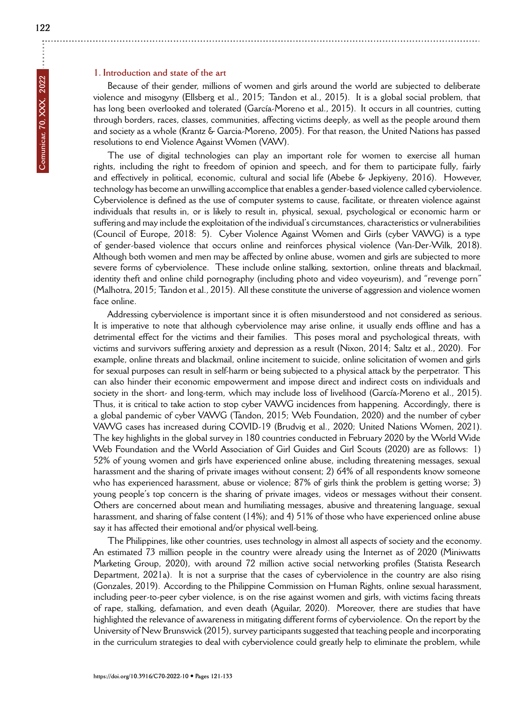÷

## **1. Introduction and state of the art**

Because of their gender, millions of women and girls around the world are subjected to deliberate violence and misogyny (Ellsberg et al., 2015; Tandon et al., 2015). It is a global social problem, that has long been overlooked and tolerated (García-Moreno et al., 2015). It occurs in all countries, cutting through borders, races, classes, communities, affecting victims deeply, as well as the people around them and society as a whole (Krantz & Garcia-Moreno, 2005). For that reason, the United Nations has passed resolutions to end Violence Against Women (VAW).

The use of digital technologies can play an important role for women to exercise all human rights, including the right to freedom of opinion and speech, and for them to participate fully, fairly and effectively in political, economic, cultural and social life (Abebe & Jepkiyeny, 2016). However, technology has become an unwilling accomplice that enables a gender-based violence called cyberviolence. Cyberviolence is defined as the use of computer systems to cause, facilitate, or threaten violence against individuals that results in, or is likely to result in, physical, sexual, psychological or economic harm or suffering and may include the exploitation of the individual's circumstances, characteristics or vulnerabilities (Council of Europe, 2018: 5). Cyber Violence Against Women and Girls (cyber VAWG) is a type of gender-based violence that occurs online and reinforces physical violence (Van-Der-Wilk, 2018). Although both women and men may be affected by online abuse, women and girls are subjected to more severe forms of cyberviolence. These include online stalking, sextortion, online threats and blackmail, identity theft and online child pornography (including photo and video voyeurism), and "revenge porn" (Malhotra, 2015; Tandon et al., 2015). All these constitute the universe of aggression and violence women face online.

Addressing cyberviolence is important since it is often misunderstood and not considered as serious. It is imperative to note that although cyberviolence may arise online, it usually ends offline and has a detrimental effect for the victims and their families. This poses moral and psychological threats, with victims and survivors suffering anxiety and depression as a result (Nixon, 2014; Saltz et al., 2020). For example, online threats and blackmail, online incitement to suicide, online solicitation of women and girls for sexual purposes can result in self-harm or being subjected to a physical attack by the perpetrator. This can also hinder their economic empowerment and impose direct and indirect costs on individuals and society in the short- and long-term, which may include loss of livelihood (García-Moreno et al., 2015). Thus, it is critical to take action to stop cyber VAWG incidences from happening. Accordingly, there is a global pandemic of cyber VAWG (Tandon, 2015; Web Foundation, 2020) and the number of cyber VAWG cases has increased during COVID-19 (Brudvig et al., 2020; United Nations Women, 2021). The key highlights in the global survey in 180 countries conducted in February 2020 by the World Wide Web Foundation and the World Association of Girl Guides and Girl Scouts (2020) are as follows: 1) 52% of young women and girls have experienced online abuse, including threatening messages, sexual harassment and the sharing of private images without consent; 2) 64% of all respondents know someone who has experienced harassment, abuse or violence; 87% of girls think the problem is getting worse; 3) young people's top concern is the sharing of private images, videos or messages without their consent. Others are concerned about mean and humiliating messages, abusive and threatening language, sexual harassment, and sharing of false content (14%); and 4) 51% of those who have experienced online abuse say it has affected their emotional and/or physical well-being.

The Philippines, like other countries, uses technology in almost all aspects of society and the economy. An estimated 73 million people in the country were already using the Internet as of 2020 (Miniwatts Marketing Group, 2020), with around 72 million active social networking profiles (Statista Research Department, 2021a). It is not a surprise that the cases of cyberviolence in the country are also rising (Gonzales, 2019). According to the Philippine Commission on Human Rights, online sexual harassment, including peer-to-peer cyber violence, is on the rise against women and girls, with victims facing threats of rape, stalking, defamation, and even death (Aguilar, 2020). Moreover, there are studies that have highlighted the relevance of awareness in mitigating different forms of cyberviolence. On the report by the University of New Brunswick (2015), survey participants suggested that teaching people and incorporating in the curriculum strategies to deal with cyberviolence could greatly help to eliminate the problem, while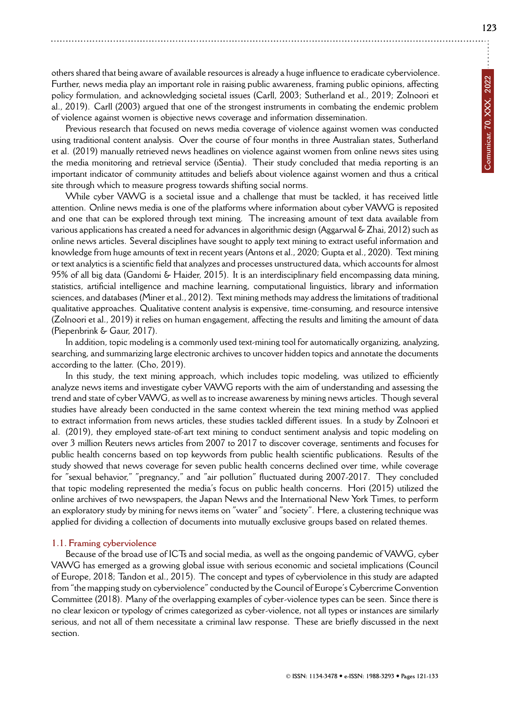others shared that being aware of available resources is already a huge influence to eradicate cyberviolence. Further, news media play an important role in raising public awareness, framing public opinions, affecting policy formulation, and acknowledging societal issues (Carll, 2003; Sutherland et al., 2019; Zolnoori et al., 2019). Carll (2003) argued that one of the strongest instruments in combating the endemic problem of violence against women is objective news coverage and information dissemination.

Previous research that focused on news media coverage of violence against women was conducted using traditional content analysis. Over the course of four months in three Australian states, Sutherland et al. (2019) manually retrieved news headlines on violence against women from online news sites using the media monitoring and retrieval service (iSentia). Their study concluded that media reporting is an important indicator of community attitudes and beliefs about violence against women and thus a critical site through which to measure progress towards shifting social norms.

While cyber VAWG is a societal issue and a challenge that must be tackled, it has received little attention. Online news media is one of the platforms where information about cyber VAWG is reposited and one that can be explored through text mining. The increasing amount of text data available from various applications has created a need for advances in algorithmic design (Aggarwal & Zhai, 2012) such as online news articles. Several disciplines have sought to apply text mining to extract useful information and knowledge from huge amounts of text in recent years (Antons et al., 2020; Gupta et al., 2020). Text mining or text analytics is a scientific field that analyzes and processes unstructured data, which accounts for almost 95% of all big data (Gandomi & Haider, 2015). It is an interdisciplinary field encompassing data mining, statistics, artificial intelligence and machine learning, computational linguistics, library and information sciences, and databases (Miner et al., 2012). Text mining methods may address the limitations of traditional qualitative approaches. Qualitative content analysis is expensive, time-consuming, and resource intensive (Zolnoori et al., 2019) it relies on human engagement, affecting the results and limiting the amount of data (Piepenbrink & Gaur, 2017).

In addition, topic modeling is a commonly used text-mining tool for automatically organizing, analyzing, searching, and summarizing large electronic archives to uncover hidden topics and annotate the documents according to the latter. (Cho, 2019).

In this study, the text mining approach, which includes topic modeling, was utilized to efficiently analyze news items and investigate cyber VAWG reports with the aim of understanding and assessing the trend and state of cyber VAWG, as well as to increase awareness by mining news articles. Though several studies have already been conducted in the same context wherein the text mining method was applied to extract information from news articles, these studies tackled different issues. In a study by Zolnoori et al. (2019), they employed state-of-art text mining to conduct sentiment analysis and topic modeling on over 3 million Reuters news articles from 2007 to 2017 to discover coverage, sentiments and focuses for public health concerns based on top keywords from public health scientific publications. Results of the study showed that news coverage for seven public health concerns declined over time, while coverage for "sexual behavior," "pregnancy," and "air pollution" fluctuated during 2007-2017. They concluded that topic modeling represented the media's focus on public health concerns. Hori (2015) utilized the online archives of two newspapers, the Japan News and the International New York Times, to perform an exploratory study by mining for news items on "water" and "society". Here, a clustering technique was applied for dividing a collection of documents into mutually exclusive groups based on related themes.

#### **1.1. Framing cyberviolence**

Because of the broad use of ICTs and social media, as well as the ongoing pandemic of VAWG, cyber VAWG has emerged as a growing global issue with serious economic and societal implications (Council of Europe, 2018; Tandon et al., 2015). The concept and types of cyberviolence in this study are adapted from "the mapping study on cyberviolence" conducted by the Council of Europe's Cybercrime Convention Committee (2018). Many of the overlapping examples of cyber-violence types can be seen. Since there is no clear lexicon or typology of crimes categorized as cyber-violence, not all types or instances are similarly serious, and not all of them necessitate a criminal law response. These are briefly discussed in the next section.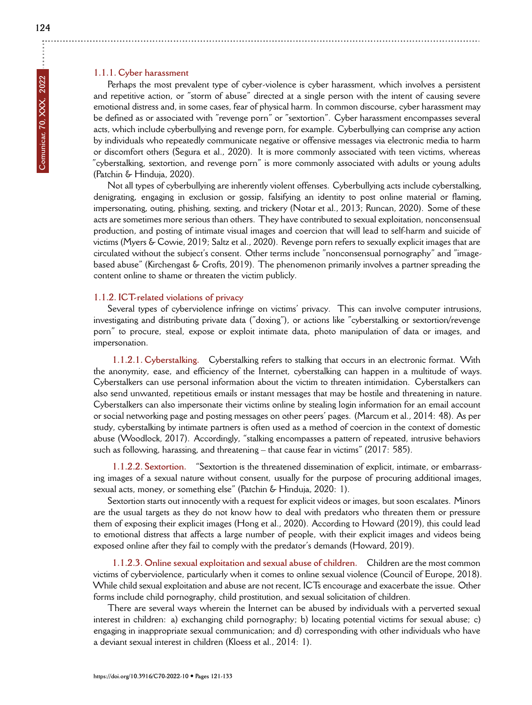# **1.1.1. Cyber harassment**

Perhaps the most prevalent type of cyber-violence is cyber harassment, which involves a persistent and repetitive action, or "storm of abuse" directed at a single person with the intent of causing severe emotional distress and, in some cases, fear of physical harm. In common discourse, cyber harassment may be defined as or associated with "revenge porn" or "sextortion". Cyber harassment encompasses several acts, which include cyberbullying and revenge porn, for example. Cyberbullying can comprise any action by individuals who repeatedly communicate negative or offensive messages via electronic media to harm or discomfort others (Segura et al., 2020). It is more commonly associated with teen victims, whereas "cyberstalking, sextortion, and revenge porn" is more commonly associated with adults or young adults (Patchin & Hinduja, 2020).

Not all types of cyberbullying are inherently violent offenses. Cyberbullying acts include cyberstalking, denigrating, engaging in exclusion or gossip, falsifying an identity to post online material or flaming, impersonating, outing, phishing, sexting, and trickery (Notar et al., 2013; Runcan, 2020). Some of these acts are sometimes more serious than others. They have contributed to sexual exploitation, nonconsensual production, and posting of intimate visual images and coercion that will lead to self-harm and suicide of victims (Myers & Cowie, 2019; Saltz et al., 2020). Revenge porn refers to sexually explicit images that are circulated without the subject's consent. Other terms include "nonconsensual pornography" and "imagebased abuse" (Kirchengast & Crofts, 2019). The phenomenon primarily involves a partner spreading the content online to shame or threaten the victim publicly.

# **1.1.2. ICT-related violations of privacy**

Several types of cyberviolence infringe on victims' privacy. This can involve computer intrusions, investigating and distributing private data ("doxing"), or actions like "cyberstalking or sextortion/revenge porn" to procure, steal, expose or exploit intimate data, photo manipulation of data or images, and impersonation.

**1.1.2.1. Cyberstalking.** Cyberstalking refers to stalking that occurs in an electronic format. With the anonymity, ease, and efficiency of the Internet, cyberstalking can happen in a multitude of ways. Cyberstalkers can use personal information about the victim to threaten intimidation. Cyberstalkers can also send unwanted, repetitious emails or instant messages that may be hostile and threatening in nature. Cyberstalkers can also impersonate their victims online by stealing login information for an email account or social networking page and posting messages on other peers' pages. (Marcum et al., 2014: 48). As per study, cyberstalking by intimate partners is often used as a method of coercion in the context of domestic abuse (Woodlock, 2017). Accordingly, "stalking encompasses a pattern of repeated, intrusive behaviors such as following, harassing, and threatening – that cause fear in victims" (2017: 585).

**1.1.2.2. Sextortion.** "Sextortion is the threatened dissemination of explicit, intimate, or embarrassing images of a sexual nature without consent, usually for the purpose of procuring additional images, sexual acts, money, or something else" (Patchin & Hinduja, 2020: 1).

Sextortion starts out innocently with a request for explicit videos or images, but soon escalates. Minors are the usual targets as they do not know how to deal with predators who threaten them or pressure them of exposing their explicit images (Hong et al., 2020). According to Howard (2019), this could lead to emotional distress that affects a large number of people, with their explicit images and videos being exposed online after they fail to comply with the predator's demands (Howard, 2019).

**1.1.2.3. Online sexual exploitation and sexual abuse of children.** Children are the most common victims of cyberviolence, particularly when it comes to online sexual violence (Council of Europe, 2018). While child sexual exploitation and abuse are not recent, ICTs encourage and exacerbate the issue. Other forms include child pornography, child prostitution, and sexual solicitation of children.

There are several ways wherein the Internet can be abused by individuals with a perverted sexual interest in children: a) exchanging child pornography; b) locating potential victims for sexual abuse; c) engaging in inappropriate sexual communication; and d) corresponding with other individuals who have a deviant sexual interest in children (Kloess et al., 2014: 1).

÷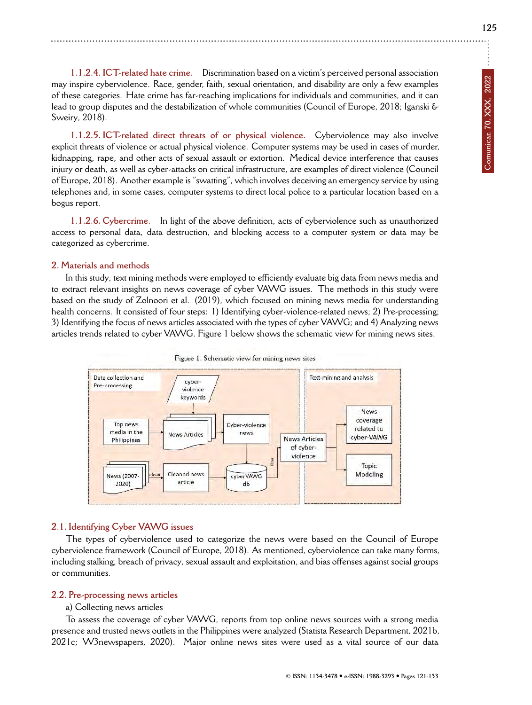**1.1.2.4. ICT-related hate crime.** Discrimination based on a victim's perceived personal association may inspire cyberviolence. Race, gender, faith, sexual orientation, and disability are only a few examples of these categories. Hate crime has far-reaching implications for individuals and communities, and it can lead to group disputes and the destabilization of whole communities (Council of Europe, 2018; Iganski & Sweiry, 2018).

**1.1.2.5. ICT-related direct threats of or physical violence.** Cyberviolence may also involve explicit threats of violence or actual physical violence. Computer systems may be used in cases of murder, kidnapping, rape, and other acts of sexual assault or extortion. Medical device interference that causes injury or death, as well as cyber-attacks on critical infrastructure, are examples of direct violence (Council of Europe, 2018). Another example is "swatting", which involves deceiving an emergency service by using telephones and, in some cases, computer systems to direct local police to a particular location based on a bogus report.

**1.1.2.6. Cybercrime.** In light of the above definition, acts of cyberviolence such as unauthorized access to personal data, data destruction, and blocking access to a computer system or data may be categorized as cybercrime.

# **2. Materials and methods**

In this study, text mining methods were employed to efficiently evaluate big data from news media and to extract relevant insights on news coverage of cyber VAWG issues. The methods in this study were based on the study of Zolnoori et al. (2019), which focused on mining news media for understanding health concerns. It consisted of four steps: 1) Identifying cyber-violence-related news; 2) Pre-processing; 3) Identifying the focus of news articles associated with the types of cyber VAWG; and 4) Analyzing news articles trends related to cyber VAWG. Figure 1 below shows the schematic view for mining news sites.





# **2.1. Identifying Cyber VAWG issues**

The types of cyberviolence used to categorize the news were based on the Council of Europe cyberviolence framework (Council of Europe, 2018). As mentioned, cyberviolence can take many forms, including stalking, breach of privacy, sexual assault and exploitation, and bias offenses against social groups or communities.

# **2.2. Pre-processing news articles**

# a) Collecting news articles

To assess the coverage of cyber VAWG, reports from top online news sources with a strong media presence and trusted news outlets in the Philippines were analyzed (Statista Research Department, 2021b, 2021c; W3newspapers, 2020). Major online news sites were used as a vital source of our data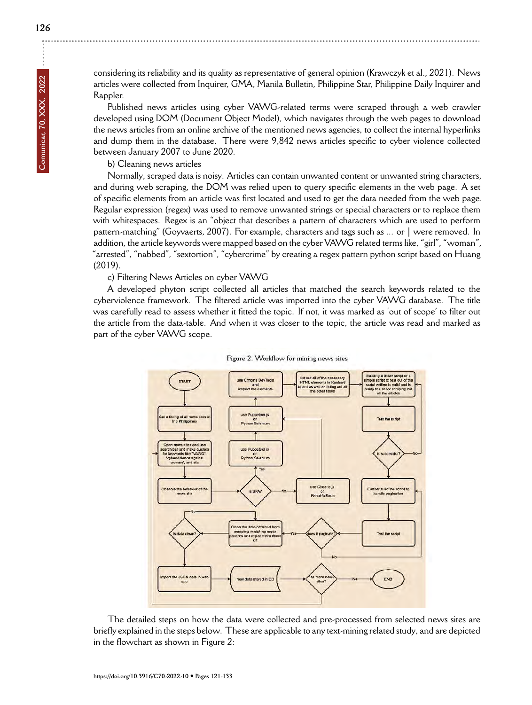considering its reliability and its quality as representative of general opinion (Krawczyk et al., 2021). News

articles were collected from Inquirer, GMA, Manila Bulletin, Philippine Star, Philippine Daily Inquirer and Rappler.

Published news articles using cyber VAWG-related terms were scraped through a web crawler developed using DOM (Document Object Model), which navigates through the web pages to download the news articles from an online archive of the mentioned news agencies, to collect the internal hyperlinks and dump them in the database. There were 9,842 news articles specific to cyber violence collected between January 2007 to June 2020.

# b) Cleaning news articles

Normally, scraped data is noisy. Articles can contain unwanted content or unwanted string characters, and during web scraping, the DOM was relied upon to query specific elements in the web page. A set of specific elements from an article was first located and used to get the data needed from the web page. Regular expression (regex) was used to remove unwanted strings or special characters or to replace them with whitespaces. Regex is an "object that describes a pattern of characters which are used to perform pattern-matching" (Goyvaerts, 2007). For example, characters and tags such as ... or | were removed. In addition, the article keywords were mapped based on the cyber VAWG related terms like, "girl", "woman", "arrested", "nabbed", "sextortion", "cybercrime" by creating a regex pattern python script based on Huang (2019).

c) Filtering News Articles on cyber VAWG

A developed phyton script collected all articles that matched the search keywords related to the cyberviolence framework. The filtered article was imported into the cyber VAWG database. The title was carefully read to assess whether it fitted the topic. If not, it was marked as 'out of scope' to filter out the article from the data-table. And when it was closer to the topic, the article was read and marked as part of the cyber VAWG scope.



Figure 2. Workflow for mining news sites

The detailed steps on how the data were collected and pre-processed from selected news sites are briefly explained in the steps below. These are applicable to any text-mining related study, and are depicted in the flowchart as shown in Figure 2: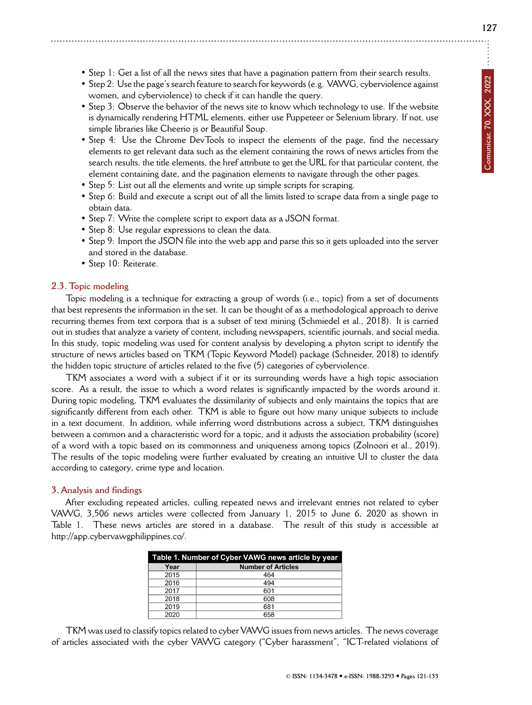- Step 1: Get a list of all the news sites that have a pagination pattern from their search results.
- Step 2: Use the page's search feature to search for keywords (e.g. VAWG, cyberviolence against women, and cyberviolence) to check if it can handle the query.
- Step 3: Observe the behavior of the news site to know which technology to use. If the website is dynamically rendering HTML elements, either use Puppeteer or Selenium library. If not, use simple libraries like Cheerio js or Beautiful Soup.
- Step 4: Use the Chrome DevTools to inspect the elements of the page, find the necessary elements to get relevant data such as the element containing the rows of news articles from the search results, the title elements, the href attribute to get the URL for that particular content, the element containing date, and the pagination elements to navigate through the other pages.
- Step 5: List out all the elements and write up simple scripts for scraping.
- Step 6: Build and execute a script out of all the limits listed to scrape data from a single page to obtain data.
- Step 7: Write the complete script to export data as a JSON format.
- Step 8: Use regular expressions to clean the data.
- Step 9: Import the JSON file into the web app and parse this so it gets uploaded into the server and stored in the database.
- Step 10: Reiterate.

#### **2.3. Topic modeling**

Topic modeling is a technique for extracting a group of words (i.e., topic) from a set of documents that best represents the information in the set. It can be thought of as a methodological approach to derive recurring themes from text corpora that is a subset of text mining (Schmiedel et al., 2018). It is carried out in studies that analyze a variety of content, including newspapers, scientific journals, and social media. In this study, topic modeling was used for content analysis by developing a phyton script to identify the structure of news articles based on TKM (Topic Keyword Model) package (Schneider, 2018) to identify the hidden topic structure of articles related to the five (5) categories of cyberviolence.

TKM associates a word with a subject if it or its surrounding words have a high topic association score. As a result, the issue to which a word relates is significantly impacted by the words around it. During topic modeling, TKM evaluates the dissimilarity of subjects and only maintains the topics that are significantly different from each other. TKM is able to figure out how many unique subjects to include in a text document. In addition, while inferring word distributions across a subject, TKM distinguishes between a common and a characteristic word for a topic, and it adjusts the association probability (score) of a word with a topic based on its commonness and uniqueness among topics (Zolnoori et al., 2019). The results of the topic modeling were further evaluated by creating an intuitive UI to cluster the data according to category, crime type and location.

#### **3. Analysis and findings**

After excluding repeated articles, culling repeated news and irrelevant entries not related to cyber VAWG, 3,506 news articles were collected from January 1, 2015 to June 6, 2020 as shown in Table 1. These news articles are stored in a database. The result of this study is accessible at http://app.cybervawgphilippines.co/.

| Table 1. Number of Cyber VAWG news article by year |                           |  |  |
|----------------------------------------------------|---------------------------|--|--|
| Year                                               | <b>Number of Articles</b> |  |  |
| 2015                                               | 464                       |  |  |
| 2016                                               | 494                       |  |  |
| 2017                                               | 601                       |  |  |
| 2018                                               | 608                       |  |  |
| 2019                                               | 681                       |  |  |
| 2020                                               | 658                       |  |  |

TKM was used to classify topics related to cyber VAWG issues from news articles. The news coverage of articles associated with the cyber VAWG category ("Cyber harassment", "ICT-related violations of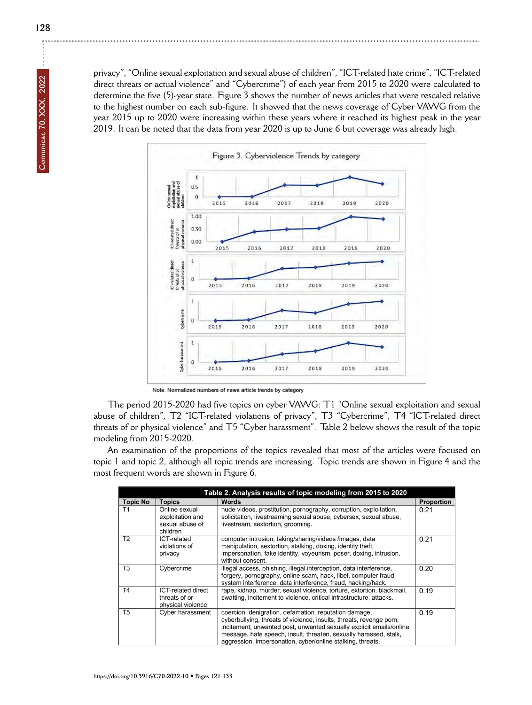privacy", "Online sexual exploitation and sexual abuse of children", "ICT-related hate crime", "ICT-related direct threats or actual violence" and "Cybercrime") of each year from 2015 to 2020 were calculated to determine the five (5)-year state. Figure 3 shows the number of news articles that were rescaled relative to the highest number on each sub-figure. It showed that the news coverage of Cyber VAWG from the year 2015 up to 2020 were increasing within these years where it reached its highest peak in the year 2019. It can be noted that the data from year 2020 is up to June 6 but coverage was already high.



Note. Normalized numbers of news article trends by category.

The period 2015-2020 had five topics on cyber VAWG: T1 "Online sexual exploitation and sexual abuse of children", T2 "ICT-related violations of privacy", T3 "Cybercrime", T4 "ICT-related direct threats of or physical violence" and T5 "Cyber harassment". Table 2 below shows the result of the topic modeling from 2015-2020.

An examination of the proportions of the topics revealed that most of the articles were focused on topic 1 and topic 2, although all topic trends are increasing. Topic trends are shown in Figure 4 and the most frequent words are shown in Figure 6.

| Table 2. Analysis results of topic modeling from 2015 to 2020 |                                                                  |                                                                                                                                                                                                                                                                                                                                        |            |
|---------------------------------------------------------------|------------------------------------------------------------------|----------------------------------------------------------------------------------------------------------------------------------------------------------------------------------------------------------------------------------------------------------------------------------------------------------------------------------------|------------|
| <b>Topic No</b>                                               | <b>Topics</b>                                                    | Words                                                                                                                                                                                                                                                                                                                                  | Proportion |
| Τ1                                                            | Online sexual<br>exploitation and<br>sexual abuse of<br>children | nude videos, prostitution, pornography, corruption, exploitation,<br>solicitation, livestreaming sexual abuse, cybersex, sexual abuse,<br>livestream, sextortion, grooming.                                                                                                                                                            | 0.21       |
| T <sub>2</sub>                                                | ICT-related<br>violations of<br>privacy                          | computer intrusion, taking/sharing/videos /images, data<br>manipulation, sextortion, stalking, doxing, identity theft,<br>impersonation, fake identity, voyeurism, poser, doxing, intrusion,<br>without consent.                                                                                                                       | 0.21       |
| T <sub>3</sub>                                                | Cybercrime                                                       | illegal access, phishing, illegal interception, data interference,<br>forgery, pornography, online scam, hack, libel, computer fraud,<br>system interference, data interference, fraud, hacking/hack.                                                                                                                                  | 0.20       |
| T <sub>4</sub>                                                | ICT-related direct<br>threats of or<br>physical violence         | rape, kidnap, murder, sexual violence, torture, extortion, blackmail,<br>swatting, incitement to violence, critical infrastructure, attacks.                                                                                                                                                                                           | 0.19       |
| T <sub>5</sub>                                                | Cyber harassment                                                 | coercion, denigration, defamation, reputation damage,<br>cyberbullying, threats of violence, insults, threats, revenge porn,<br>incitement, unwanted post, unwanted sexually explicit emails/online<br>message, hate speech, insult, threaten, sexually harassed, stalk,<br>aggression, impersonation, cyber/online stalking, threats. | 0.19       |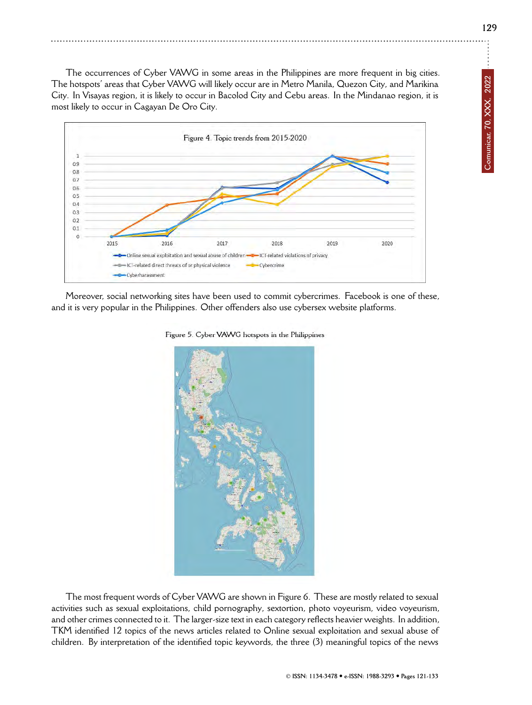The occurrences of Cyber VAWG in some areas in the Philippines are more frequent in big cities. The hotspots' areas that Cyber VAWG will likely occur are in Metro Manila, Quezon City, and Marikina City. In Visayas region, it is likely to occur in Bacolod City and Cebu areas. In the Mindanao region, it is most likely to occur in Cagayan De Oro City.



Moreover, social networking sites have been used to commit cybercrimes. Facebook is one of these, and it is very popular in the Philippines. Other offenders also use cybersex website platforms.



The most frequent words of Cyber VAWG are shown in Figure 6. These are mostly related to sexual activities such as sexual exploitations, child pornography, sextortion, photo voyeurism, video voyeurism, and other crimes connected to it. The larger-size text in each category reflects heavier weights. In addition, TKM identified 12 topics of the news articles related to Online sexual exploitation and sexual abuse of children. By interpretation of the identified topic keywords, the three (3) meaningful topics of the news

Figure 5. Cyber VAWG hotspots in the Philippines

**129**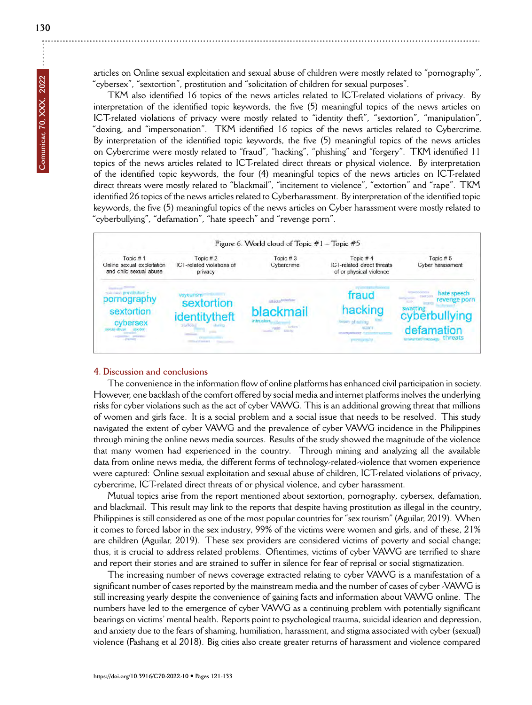articles on Online sexual exploitation and sexual abuse of children were mostly related to "pornography", "cybersex", "sextortion", prostitution and "solicitation of children for sexual purposes".

TKM also identified 16 topics of the news articles related to ICT-related violations of privacy. By interpretation of the identified topic keywords, the five (5) meaningful topics of the news articles on ICT-related violations of privacy were mostly related to "identity theft", "sextortion", "manipulation", "doxing, and "impersonation". TKM identified 16 topics of the news articles related to Cybercrime. By interpretation of the identified topic keywords, the five (5) meaningful topics of the news articles on Cybercrime were mostly related to "fraud", "hacking", "phishing" and "forgery". TKM identified 11 topics of the news articles related to ICT-related direct threats or physical violence. By interpretation of the identified topic keywords, the four (4) meaningful topics of the news articles on ICT-related direct threats were mostly related to "blackmail", "incitement to violence", "extortion" and "rape". TKM identified 26 topics of the news articles related to Cyberharassment. By interpretation of the identified topic keywords, the five (5) meaningful topics of the news articles on Cyber harassment were mostly related to "cyberbullying", "defamation", "hate speech" and "revenge porn".



# **4. Discussion and conclusions**

The convenience in the information flow of online platforms has enhanced civil participation in society. However, one backlash of the comfort offered by social media and internet platforms inolves the underlying risks for cyber violations such as the act of cyber VAWG. This is an additional growing threat that millions of women and girls face. It is a social problem and a social issue that needs to be resolved. This study navigated the extent of cyber VAWG and the prevalence of cyber VAWG incidence in the Philippines through mining the online news media sources. Results of the study showed the magnitude of the violence that many women had experienced in the country. Through mining and analyzing all the available data from online news media, the different forms of technology-related-violence that women experience were captured: Online sexual exploitation and sexual abuse of children, ICT-related violations of privacy, cybercrime, ICT-related direct threats of or physical violence, and cyber harassment.

Mutual topics arise from the report mentioned about sextortion, pornography, cybersex, defamation, and blackmail. This result may link to the reports that despite having prostitution as illegal in the country, Philippines is still considered as one of the most popular countries for "sex tourism" (Aguilar, 2019). When it comes to forced labor in the sex industry, 99% of the victims were women and girls, and of these, 21% are children (Aguilar, 2019). These sex providers are considered victims of poverty and social change; thus, it is crucial to address related problems. Oftentimes, victims of cyber VAWG are terrified to share and report their stories and are strained to suffer in silence for fear of reprisal or social stigmatization.

The increasing number of news coverage extracted relating to cyber VAWG is a manifestation of a significant number of cases reported by the mainstream media and the number of cases of cyber -VAWG is still increasing yearly despite the convenience of gaining facts and information about VAWG online. The numbers have led to the emergence of cyber VAWG as a continuing problem with potentially significant bearings on victims' mental health. Reports point to psychological trauma, suicidal ideation and depression, and anxiety due to the fears of shaming, humiliation, harassment, and stigma associated with cyber (sexual) violence (Pashang et al 2018). Big cities also create greater returns of harassment and violence compared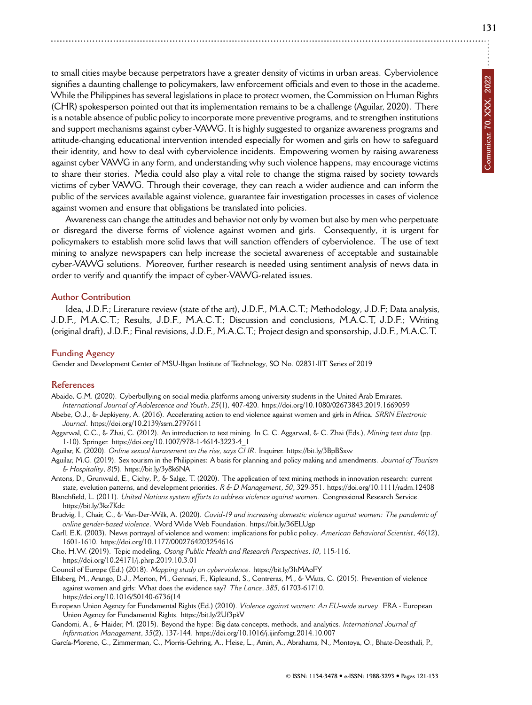to small cities maybe because perpetrators have a greater density of victims in urban areas. Cyberviolence signifies a daunting challenge to policymakers, law enforcement officials and even to those in the academe. While the Philippines has several legislations in place to protect women, the Commission on Human Rights (CHR) spokesperson pointed out that its implementation remains to be a challenge (Aguilar, 2020). There is a notable absence of public policy to incorporate more preventive programs, and to strengthen institutions and support mechanisms against cyber-VAWG. It is highly suggested to organize awareness programs and attitude-changing educational intervention intended especially for women and girls on how to safeguard their identity, and how to deal with cyberviolence incidents. Empowering women by raising awareness against cyber VAWG in any form, and understanding why such violence happens, may encourage victims to share their stories. Media could also play a vital role to change the stigma raised by society towards victims of cyber VAWG. Through their coverage, they can reach a wider audience and can inform the public of the services available against violence, guarantee fair investigation processes in cases of violence against women and ensure that obligations be translated into policies.

Awareness can change the attitudes and behavior not only by women but also by men who perpetuate or disregard the diverse forms of violence against women and girls. Consequently, it is urgent for policymakers to establish more solid laws that will sanction offenders of cyberviolence. The use of text mining to analyze newspapers can help increase the societal awareness of acceptable and sustainable cyber-VAWG solutions. Moreover, further research is needed using sentiment analysis of news data in order to verify and quantify the impact of cyber-VAWG-related issues.

## **Author Contribution**

Idea, J.D.F.; Literature review (state of the art), J.D.F., M.A.C.T.; Methodology, J.D.F; Data analysis, J.D.F., M.A.C.T.; Results, J.D.F., M.A.C.T.; Discussion and conclusions, M.A.C.T, J.D.F.; Writing (original draft), J.D.F.; Final revisions, J.D.F., M.A.C.T.; Project design and sponsorship, J.D.F., M.A.C.T.

#### **Funding Agency**

Gender and Development Center of MSU-Iligan Institute of Technology, SO No. 02831-IIT Series of 2019

#### **References**

Abaido, G.M. (2020). Cyberbullying on social media platforms among university students in the United Arab Emirates. *International Journal of Adolescence and Youth*, *25*(1), 407-420.<https://doi.org/10.1080/02673843.2019.1669059>

- Abebe, O.J., & Jepkiyeny, A. (2016). Accelerating action to end violence against women and girls in Africa. *SRRN Electronic Journal*.<https://doi.org/10.2139/ssrn.2797611>
- Aggarwal, C.C., & Zhai, C. (2012). An introduction to text mining. In C. C. Aggarwal, & C. Zhai (Eds.), *Mining text data* (pp. 1-10). Springer. [https://doi.org/10.1007/978-1-4614-3223-4\\_1](https://doi.org/10.1007/978-1-4614-3223-4_1)
- Aguilar, K. (2020). *Online sexual harassment on the rise, says CHR*. Inquirer.<https://bit.ly/3BpBSxw>
- Aguilar, M.G. (2019). Sex tourism in the Philippines: A basis for planning and policy making and amendments. *Journal of Tourism & Hospitality*, *8*(5).<https://bit.ly/3y8k6NA>
- Antons, D., Grunwald, E., Cichy, P., & Salge, T. (2020). The application of text mining methods in innovation research: current state, evolution patterns, and development priorities. *R & D Management*, *50*, 329-351.<https://doi.org/10.1111/radm.12408>
- Blanchfield, L. (2011). *United Nations system efforts to address violence against women*. Congressional Research Service. <https://bit.ly/3kz7Kdc>
- Brudvig, I., Chair, C., & Van-Der-Wilk, A. (2020). *Covid-19 and increasing domestic violence against women: The pandemic of online gender-based violence*. Word Wide Web Foundation.<https://bit.ly/36ELUgp>
- Carll, E.K. (2003). News portrayal of violence and women: implications for public policy. *American Behavioral Scientist*, *46*(12), 1601-1610.<https://doi.org/10.1177/0002764203254616>
- Cho, H.W. (2019). Topic modeling. *Osong Public Health and Research Perspectives*, *10*, 115-116. <https://doi.org/10.24171/j.phrp.2019.10.3.01>
- Council of Europe (Ed.) (2018). *Mapping study on cyberviolence*.<https://bit.ly/3hMAoFY>
- Ellsberg, M., Arango, D.J., Morton, M., Gennari, F., Kiplesund, S., Contreras, M., & Watts, C. (2015). Prevention of violence against women and girls: What does the evidence say? *The Lance*, *385*, 61703-61710. [https://doi.org/10.1016/S0140-6736\(14](https://doi.org/10.1016/S0140-6736(14)
- European Union Agency for Fundamental Rights (Ed.) (2010). *Violence against women: An EU-wide survey*. FRA European Union Agency for Fundamental Rights.<https://bit.ly/2Uf3pkV>
- Gandomi, A., & Haider, M. (2015). Beyond the hype: Big data concepts, methods, and analytics. *International Journal of Information Management*, *35*(2), 137-144.<https://doi.org/10.1016/j.ijinfomgt.2014.10.007>
- García-Moreno, C., Zimmerman, C., Morris-Gehring, A., Heise, L., Amin, A., Abrahams, N., Montoya, O., Bhate-Deosthali, P.,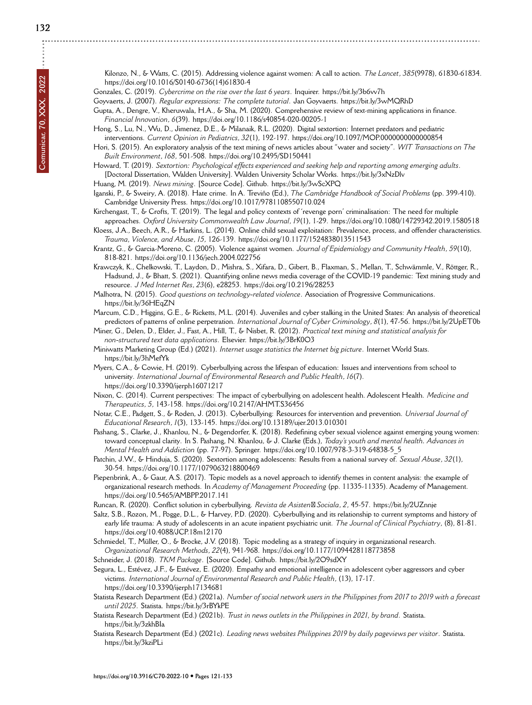**132**

Kilonzo, N., & Watts, C. (2015). Addressing violence against women: A call to action. *The Lancet*, *385*(9978), 61830-61834. [https://doi.org/10.1016/S0140-6736\(14\)61830-4](https://doi.org/10.1016/S0140-6736(14)61830-4)

Gonzales, C. (2019). *Cybercrime on the rise over the last 6 years*. Inquirer.<https://bit.ly/3b6vv7h>

Goyvaerts, J. (2007). *Regular expressions: The complete tutorial*. Jan Goyvaerts.<https://bit.ly/3wMQRhD>

Gupta, A., Dengre, V., Kheruwala, H.A., & Sha, M. (2020). Comprehensive review of text-mining applications in finance. *Financial Innovation*, *6*(39).<https://doi.org/10.1186/s40854-020-00205-1>

Hong, S., Lu, N., Wu, D., Jimenez, D.E., & Milanaik, R.L. (2020). Digital sextortion: Internet predators and pediatric interventions. *Current Opinion in Pediatrics*, *32*(1), 192-197.<https://doi.org/10.1097/MOP.0000000000000854>

Hori, S. (2015). An exploratory analysis of the text mining of news articles about "water and society". *WIT Transactions on The Built Environment*, *168*, 501-508.<https://doi.org/10.2495/SD150441>

Howard, T. (2019). *Sextortion: Psychological effects experienced and seeking help and reporting among emerging adults*. [Doctoral Dissertation, Walden University]. Walden University Scholar Works.<https://bit.ly/3xNzDlv>

Huang, M. (2019). *News mining*. [Source Code]. Github.<https://bit.ly/3wScXPQ>

Iganski, P., & Sweiry, A. (2018). Hate crime. In A. Treviño (Ed.), *The Cambridge Handbook of Social Problems* (pp. 399-410). Cambridge University Press.<https://doi.org/10.1017/9781108550710.024>

Kirchengast, T., & Crofts, T. (2019). The legal and policy contexts of 'revenge porn' criminalisation: The need for multiple approaches. *Oxford University Commonwealth Law Journal*, *19*(1), 1-29.<https://doi.org/10.1080/14729342.2019.1580518>

Kloess, J.A., Beech, A.R., & Harkins, L. (2014). Online child sexual exploitation: Prevalence, process, and offender characteristics. *Trauma, Violence, and Abuse*, *15*, 126-139.<https://doi.org/10.1177/1524838013511543>

Krantz, G., & Garcia-Moreno, C. (2005). Violence against women. *Journal of Epidemiology and Community Health*, *59*(10), 818-821.<https://doi.org/10.1136/jech.2004.022756>

Krawczyk, K., Chelkowski, T., Laydon, D., Mishra, S., Xifara, D., Gibert, B., Flaxman, S., Mellan, T., Schwämmle, V., Röttger, R., Hadsund, J., & Bhatt, S. (2021). Quantifying online news media coverage of the COVID-19 pandemic: Text mining study and resource. *J Med Internet Res*, *23*(6), e28253.<https://doi.org/10.2196/28253>

Malhotra, N. (2015). *Good questions on technology-related violence*. Association of Progressive Communications. <https://bit.ly/36HEqZN>

Marcum, C.D., Higgins, G.E., & Ricketts, M.L. (2014). Juveniles and cyber stalking in the United States: An analysis of theoretical predictors of patterns of online perpetration. *International Journal of Cyber Criminology*, *8*(1), 47-56.<https://bit.ly/2UpET0b>

Miner, G., Delen, D., Elder, J., Fast, A., Hill, T., & Nisbet, R. (2012). *Practical text mining and statistical analysis for non-structured text data applications*. Elsevier.<https://bit.ly/3BrK0O3>

Miniwatts Marketing Group (Ed.) (2021). *Internet usage statistics the Internet big picture*. Internet World Stats. <https://bit.ly/3hMefYk>

Myers, C.A., & Cowie, H. (2019). Cyberbullying across the lifespan of education: Issues and interventions from school to university. *International Journal of Environmental Research and Public Health*, *16*(7). <https://doi.org/10.3390/ijerph16071217>

Nixon, C. (2014). Current perspectives: The impact of cyberbullying on adolescent health. Adolescent Health. *Medicine and Therapeutics*, *5*, 143-158.<https://doi.org/10.2147/AHMT.S36456>

Notar, C.E., Padgett, S., & Roden, J. (2013). Cyberbullying: Resources for intervention and prevention. *Universal Journal of Educational Research*, *1*(3), 133-145.<https://doi.org/10.13189/ujer.2013.010301>

Pashang, S., Clarke, J., Khanlou, N., & Degendorfer, K. (2018). Redefining cyber sexual violence against emerging young women: toward conceptual clarity. In S. Pashang, N. Khanlou, & J. Clarke (Eds.), *Today's youth and mental health. Advances in Mental Health and Addiction* (pp. 77-97). Springer. [https://doi.org/10.1007/978-3-319-64838-5\\_5](https://doi.org/10.1007/978-3-319-64838-5_5)

Patchin, J.W., & Hinduja, S. (2020). Sextortion among adolescents: Results from a national survey of. *Sexual Abuse*, *32*(1), 30-54.<https://doi.org/10.1177/1079063218800469>

Piepenbrink, A., & Gaur, A.S. (2017). Topic models as a novel approach to identify themes in content analysis: the example of organizational research methods. In *Academy of Management Proceeding* (pp. 11335-11335). Academy of Management. <https://doi.org/10.5465/AMBPP.2017.141>

Runcan, R. (2020). Conflict solution in cyberbullying. *Revista de Asisten Sociala*, *2*, 45-57.<https://bit.ly/2UZnnje>

Saltz, S.B., Rozon, M., Pogge, D.L., & Harvey, P.D. (2020). Cyberbullying and its relationship to current symptoms and history of early life trauma: A study of adolescents in an acute inpatient psychiatric unit. *The Journal of Clinical Psychiatry*, (8), 81-81. <https://doi.org/10.4088/JCP.18m12170>

Schmiedel, T., Müller, O., & Brocke, J.V. (2018). Topic modeling as a strategy of inquiry in organizational research. *Organizational Research Methods*, *22*(4), 941-968.<https://doi.org/10.1177/1094428118773858>

Schneider, J. (2018). *TKM Package*. [Source Code]. Github.<https://bit.ly/2O9sdXY>

Segura, L., Estévez, J.F., & Estévez, E. (2020). Empathy and emotional intelligence in adolescent cyber aggressors and cyber victims. *International Journal of Environmental Research and Public Health*, (13), 17-17. <https://doi.org/10.3390/ijerph17134681>

Statista Research Department (Ed.) (2021a). *Number of social network users in the Philippines from 2017 to 2019 with a forecast until 2025*. Statista.<https://bit.ly/3rBYkPE>

Statista Research Department (Ed.) (2021b). *Trust in news outlets in the Philippines in 2021, by brand*. Statista. <https://bit.ly/3zkhBIa>

Statista Research Department (Ed.) (2021c). *Leading news websites Philippines 2019 by daily pageviews per visitor*. Statista. <https://bit.ly/3kziPLi>